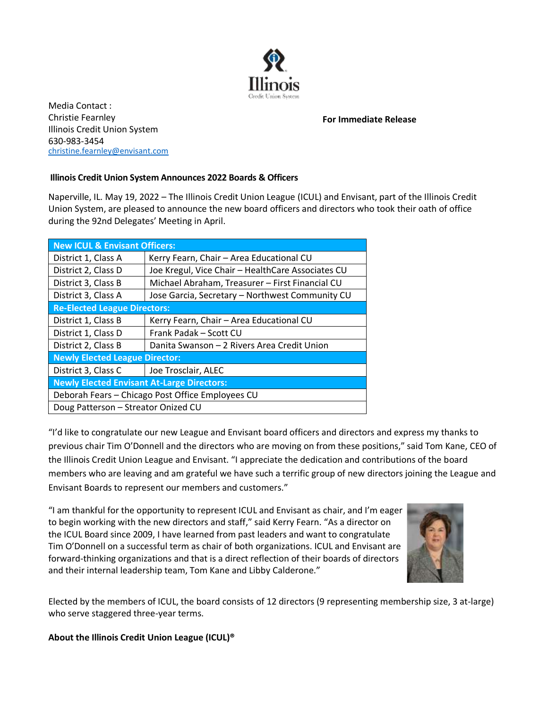

Media Contact : Christie Fearnley Illinois Credit Union System 630-983-3454 [christine.fearnley@envisant.c](mailto:christine.fearnley@lsc.net)om

**For Immediate Release**

## **Illinois Credit Union System Announces 2022 Boards & Officers**

Naperville, IL. May 19, 2022 – The Illinois Credit Union League (ICUL) and Envisant, part of the Illinois Credit Union System, are pleased to announce the new board officers and directors who took their oath of office during the 92nd Delegates' Meeting in April.

| <b>New ICUL &amp; Envisant Officers:</b>          |                                                   |
|---------------------------------------------------|---------------------------------------------------|
| District 1, Class A                               | Kerry Fearn, Chair - Area Educational CU          |
| District 2, Class D                               | Joe Kregul, Vice Chair - HealthCare Associates CU |
| District 3, Class B                               | Michael Abraham, Treasurer - First Financial CU   |
| District 3, Class A                               | Jose Garcia, Secretary - Northwest Community CU   |
| <b>Re-Elected League Directors:</b>               |                                                   |
| District 1, Class B                               | Kerry Fearn, Chair - Area Educational CU          |
| District 1, Class D                               | Frank Padak – Scott CU                            |
| District 2, Class B                               | Danita Swanson - 2 Rivers Area Credit Union       |
| <b>Newly Elected League Director:</b>             |                                                   |
| District 3, Class C                               | Joe Trosclair, ALEC                               |
| <b>Newly Elected Envisant At-Large Directors:</b> |                                                   |
| Deborah Fears - Chicago Post Office Employees CU  |                                                   |
| Doug Patterson - Streator Onized CU               |                                                   |

"I'd like to congratulate our new League and Envisant board officers and directors and express my thanks to previous chair Tim O'Donnell and the directors who are moving on from these positions," said Tom Kane, CEO of the Illinois Credit Union League and Envisant. "I appreciate the dedication and contributions of the board members who are leaving and am grateful we have such a terrific group of new directors joining the League and Envisant Boards to represent our members and customers."

"I am thankful for the opportunity to represent ICUL and Envisant as chair, and I'm eager to begin working with the new directors and staff," said Kerry Fearn. "As a director on the ICUL Board since 2009, I have learned from past leaders and want to congratulate Tim O'Donnell on a successful term as chair of both organizations. ICUL and Envisant are forward-thinking organizations and that is a direct reflection of their boards of directors and their internal leadership team, Tom Kane and Libby Calderone."



Elected by the members of ICUL, the board consists of 12 directors (9 representing membership size, 3 at-large) who serve staggered three-year terms.

## **About the Illinois Credit Union League (ICUL)®**